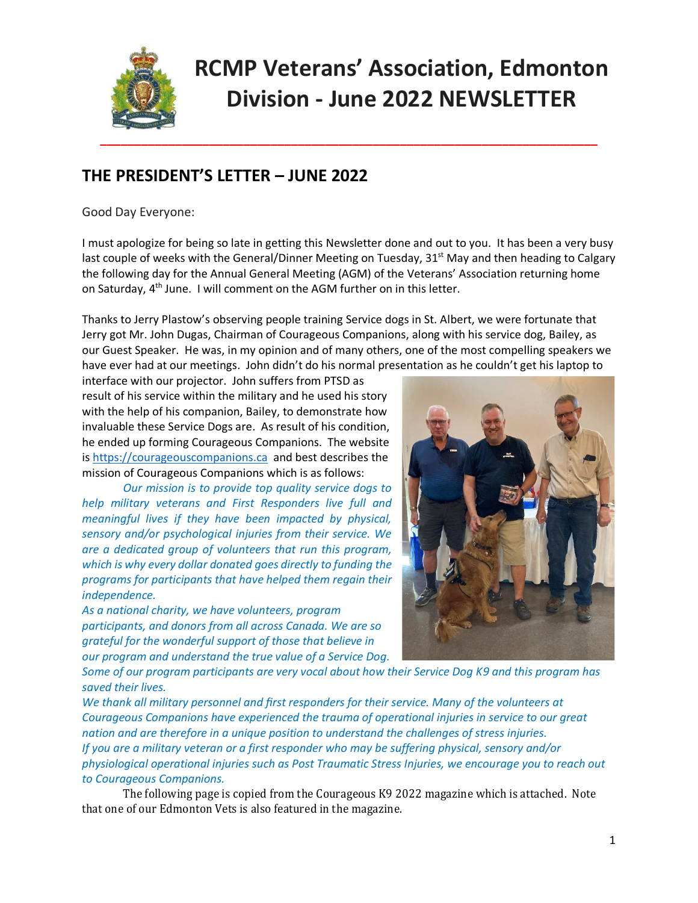

# **RCMP Veterans' Association, Edmonton Division - June 2022 NEWSLETTER**

### **THE PRESIDENT'S LETTER – JUNE 2022**

Good Day Everyone:

I must apologize for being so late in getting this Newsletter done and out to you. It has been a very busy last couple of weeks with the General/Dinner Meeting on Tuesday, 31<sup>st</sup> May and then heading to Calgary the following day for the Annual General Meeting (AGM) of the Veterans' Association returning home on Saturday, 4<sup>th</sup> June. I will comment on the AGM further on in this letter.

Thanks to Jerry Plastow's observing people training Service dogs in St. Albert, we were fortunate that Jerry got Mr. John Dugas, Chairman of Courageous Companions, along with his service dog, Bailey, as our Guest Speaker. He was, in my opinion and of many others, one of the most compelling speakers we have ever had at our meetings. John didn't do his normal presentation as he couldn't get his laptop to

interface with our projector. John suffers from PTSD as result of his service within the military and he used his story with the help of his companion, Bailey, to demonstrate how invaluable these Service Dogs are. As result of his condition, he ended up forming Courageous Companions. The website is [https://courageouscompanions.ca](https://courageouscompanions.ca/) and best describes the mission of Courageous Companions which is as follows:

*Our mission is to provide top quality service dogs to help military veterans and First Responders live full and meaningful lives if they have been impacted by physical, sensory and/or psychological injuries from their service. We are a dedicated group of volunteers that run this program, which is why every dollar donated goes directly to funding the programs for participants that have helped them regain their independence.*

*As a national charity, we have volunteers, program participants, and donors from all across Canada. We are so grateful for the wonderful support of those that believe in our program and understand the true value of a Service Dog.*



*Some of our program participants are very vocal about how their Service Dog K9 and this program has saved their lives.*

*We thank all military personnel and first responders for their service. Many of the volunteers at Courageous Companions have experienced the trauma of operational injuries in service to our great nation and are therefore in a unique position to understand the challenges of stress injuries. If you are a military veteran or a first responder who may be suffering physical, sensory and/or physiological operational injuries such as Post Traumatic Stress Injuries, we encourage you to reach out to Courageous Companions.*

The following page is copied from the Courageous K9 2022 magazine which is attached. Note that one of our Edmonton Vets is also featured in the magazine.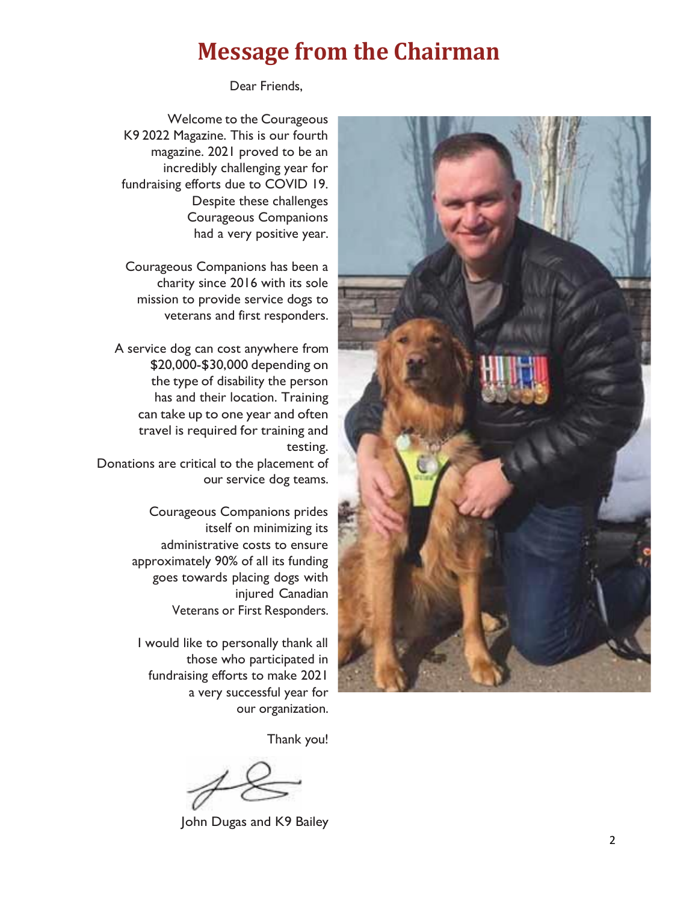## **Message from the Chairman**

Dear Friends,

Welcome to the Courageous K9 2022 Magazine. This is our fourth magazine. 2021 proved to be an incredibly challenging year for fundraising efforts due to COVID 19. Despite these challenges Courageous Companions had a very positive year.

Courageous Companions has been a charity since 2016 with its sole mission to provide service dogs to veterans and first responders.

A service dog can cost anywhere from \$20,000-\$30,000 depending on the type of disability the person has and their location. Training can take up to one year and often travel is required for training and testing.

Donations are critical to the placement of our service dog teams.

> Courageous Companions prides itself on minimizing its administrative costs to ensure approximately 90% of all its funding goes towards placing dogs with injured Canadian Veterans or First Responders.

I would like to personally thank all those who participated in fundraising efforts to make 2021 a very successful year for our organization.

Thank you!

John Dugas and K9 Bailey

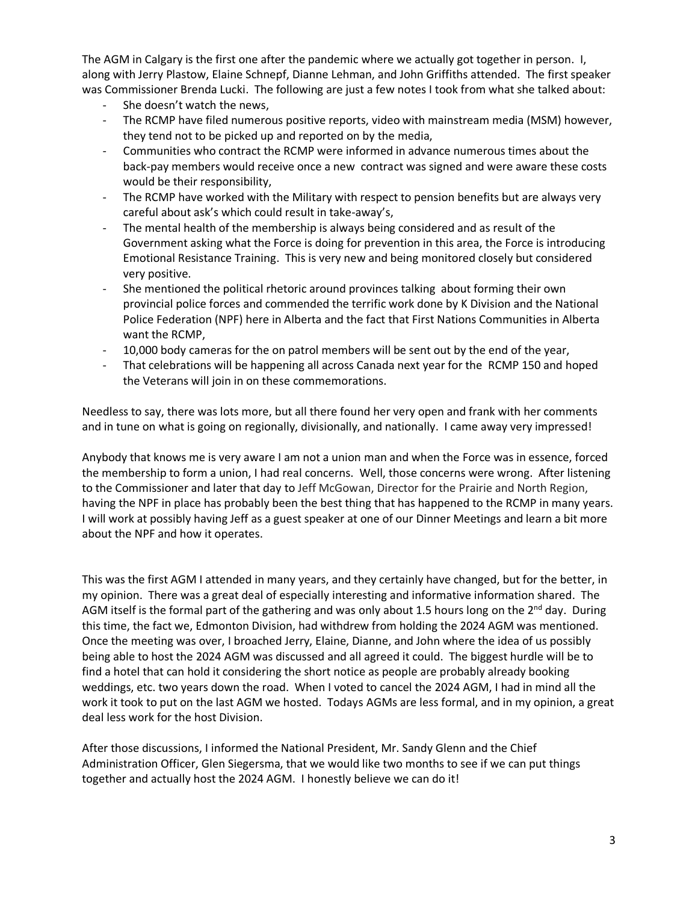The AGM in Calgary is the first one after the pandemic where we actually got together in person. I, along with Jerry Plastow, Elaine Schnepf, Dianne Lehman, and John Griffiths attended. The first speaker was Commissioner Brenda Lucki. The following are just a few notes I took from what she talked about:

- She doesn't watch the news,
- The RCMP have filed numerous positive reports, video with mainstream media (MSM) however, they tend not to be picked up and reported on by the media,
- Communities who contract the RCMP were informed in advance numerous times about the back-pay members would receive once a new contract was signed and were aware these costs would be their responsibility,
- The RCMP have worked with the Military with respect to pension benefits but are always very careful about ask's which could result in take-away's,
- The mental health of the membership is always being considered and as result of the Government asking what the Force is doing for prevention in this area, the Force is introducing Emotional Resistance Training. This is very new and being monitored closely but considered very positive.
- She mentioned the political rhetoric around provinces talking about forming their own provincial police forces and commended the terrific work done by K Division and the National Police Federation (NPF) here in Alberta and the fact that First Nations Communities in Alberta want the RCMP,
- 10,000 body cameras for the on patrol members will be sent out by the end of the year,
- That celebrations will be happening all across Canada next year for the RCMP 150 and hoped the Veterans will join in on these commemorations.

Needless to say, there was lots more, but all there found her very open and frank with her comments and in tune on what is going on regionally, divisionally, and nationally. I came away very impressed!

Anybody that knows me is very aware I am not a union man and when the Force was in essence, forced the membership to form a union, I had real concerns. Well, those concerns were wrong. After listening to the Commissioner and later that day to Jeff McGowan, Director for the Prairie and North Region, having the NPF in place has probably been the best thing that has happened to the RCMP in many years. I will work at possibly having Jeff as a guest speaker at one of our Dinner Meetings and learn a bit more about the NPF and how it operates.

This was the first AGM I attended in many years, and they certainly have changed, but for the better, in my opinion. There was a great deal of especially interesting and informative information shared. The AGM itself is the formal part of the gathering and was only about 1.5 hours long on the 2<sup>nd</sup> day. During this time, the fact we, Edmonton Division, had withdrew from holding the 2024 AGM was mentioned. Once the meeting was over, I broached Jerry, Elaine, Dianne, and John where the idea of us possibly being able to host the 2024 AGM was discussed and all agreed it could. The biggest hurdle will be to find a hotel that can hold it considering the short notice as people are probably already booking weddings, etc. two years down the road. When I voted to cancel the 2024 AGM, I had in mind all the work it took to put on the last AGM we hosted. Todays AGMs are less formal, and in my opinion, a great deal less work for the host Division.

After those discussions, I informed the National President, Mr. Sandy Glenn and the Chief Administration Officer, Glen Siegersma, that we would like two months to see if we can put things together and actually host the 2024 AGM. I honestly believe we can do it!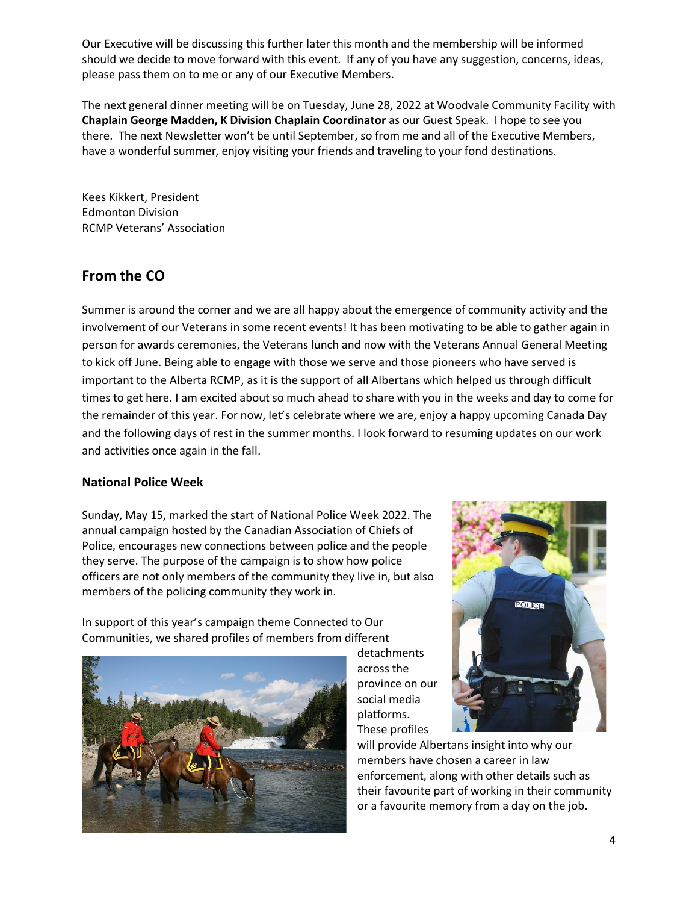Our Executive will be discussing this further later this month and the membership will be informed should we decide to move forward with this event. If any of you have any suggestion, concerns, ideas, please pass them on to me or any of our Executive Members.

The next general dinner meeting will be on Tuesday, June 28, 2022 at Woodvale Community Facility with **Chaplain George Madden, K Division Chaplain Coordinator** as our Guest Speak. I hope to see you there. The next Newsletter won't be until September, so from me and all of the Executive Members, have a wonderful summer, enjoy visiting your friends and traveling to your fond destinations.

Kees Kikkert, President Edmonton Division RCMP Veterans' Association

#### **From the CO**

Summer is around the corner and we are all happy about the emergence of community activity and the involvement of our Veterans in some recent events! It has been motivating to be able to gather again in person for awards ceremonies, the Veterans lunch and now with the Veterans Annual General Meeting to kick off June. Being able to engage with those we serve and those pioneers who have served is important to the Alberta RCMP, as it is the support of all Albertans which helped us through difficult times to get here. I am excited about so much ahead to share with you in the weeks and day to come for the remainder of this year. For now, let's celebrate where we are, enjoy a happy upcoming Canada Day and the following days of rest in the summer months. I look forward to resuming updates on our work and activities once again in the fall.

#### **National Police Week**

Sunday, May 15, marked the start of National Police Week 2022. The annual campaign hosted by the Canadian Association of Chiefs of Police, encourages new connections between police and the people they serve. The purpose of the campaign is to show how police officers are not only members of the community they live in, but also members of the policing community they work in.

In support of this year's campaign theme Connected to Our Communities, we shared profiles of members from different



detachments across the province on our social media platforms. These profiles



will provide Albertans insight into why our members have chosen a career in law enforcement, along with other details such as their favourite part of working in their community or a favourite memory from a day on the job.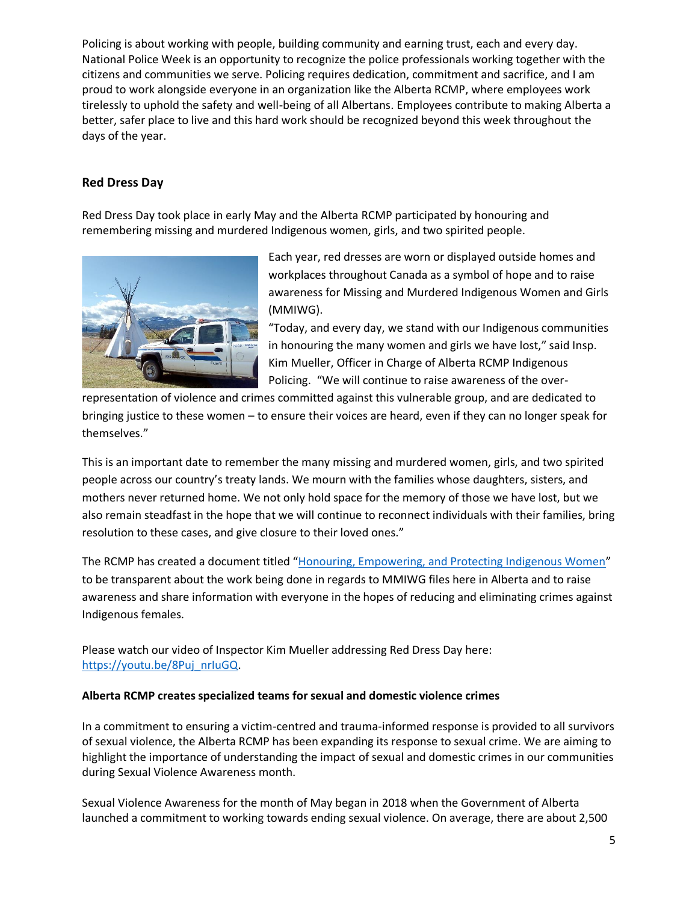Policing is about working with people, building community and earning trust, each and every day. National Police Week is an opportunity to recognize the police professionals working together with the citizens and communities we serve. Policing requires dedication, commitment and sacrifice, and I am proud to work alongside everyone in an organization like the Alberta RCMP, where employees work tirelessly to uphold the safety and well-being of all Albertans. Employees contribute to making Alberta a better, safer place to live and this hard work should be recognized beyond this week throughout the days of the year.

#### **Red Dress Day**

Red Dress Day took place in early May and the Alberta RCMP participated by honouring and remembering missing and murdered Indigenous women, girls, and two spirited people.



Each year, red dresses are worn or displayed outside homes and workplaces throughout Canada as a symbol of hope and to raise awareness for Missing and Murdered Indigenous Women and Girls (MMIWG).

"Today, and every day, we stand with our Indigenous communities in honouring the many women and girls we have lost," said Insp. Kim Mueller, Officer in Charge of Alberta RCMP Indigenous Policing. "We will continue to raise awareness of the over-

representation of violence and crimes committed against this vulnerable group, and are dedicated to bringing justice to these women – to ensure their voices are heard, even if they can no longer speak for themselves."

This is an important date to remember the many missing and murdered women, girls, and two spirited people across our country's treaty lands. We mourn with the families whose daughters, sisters, and mothers never returned home. We not only hold space for the memory of those we have lost, but we also remain steadfast in the hope that we will continue to reconnect individuals with their families, bring resolution to these cases, and give closure to their loved ones."

The RCMP has created a document titled "[Honouring, Empowering, and Protecting Indigenous Women](https://www.dropbox.com/scl/fo/sj3cwgx4bpib9jctkt6gk/h?dl=0&rlkey=j0u282a1ju7e49wd4c7foa9g4)" to be transparent about the work being done in regards to MMIWG files here in Alberta and to raise awareness and share information with everyone in the hopes of reducing and eliminating crimes against Indigenous females.

Please watch our video of Inspector Kim Mueller addressing Red Dress Day here: [https://youtu.be/8Puj\\_nrIuGQ.](https://youtu.be/8Puj_nrIuGQ)

#### **Alberta RCMP creates specialized teams for sexual and domestic violence crimes**

In a commitment to ensuring a victim-centred and trauma-informed response is provided to all survivors of sexual violence, the Alberta RCMP has been expanding its response to sexual crime. We are aiming to highlight the importance of understanding the impact of sexual and domestic crimes in our communities during Sexual Violence Awareness month.

Sexual Violence Awareness for the month of May began in 2018 when the Government of Alberta launched a commitment to working towards ending sexual violence. On average, there are about 2,500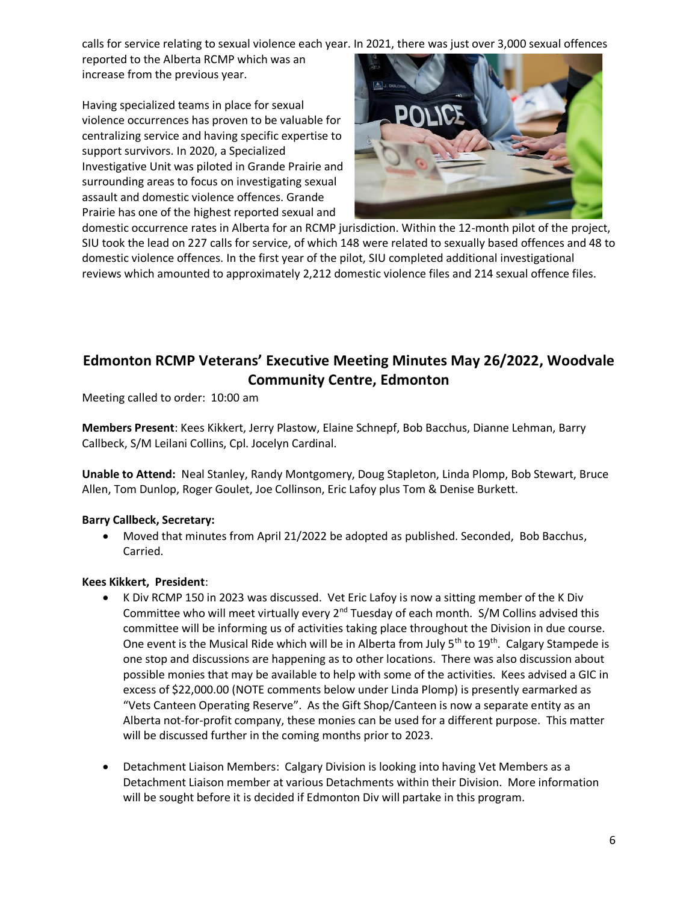calls for service relating to sexual violence each year. In 2021, there was just over 3,000 sexual offences

reported to the Alberta RCMP which was an increase from the previous year.

Having specialized teams in place for sexual violence occurrences has proven to be valuable for centralizing service and having specific expertise to support survivors. In 2020, a Specialized Investigative Unit was piloted in Grande Prairie and surrounding areas to focus on investigating sexual assault and domestic violence offences. Grande Prairie has one of the highest reported sexual and



domestic occurrence rates in Alberta for an RCMP jurisdiction. Within the 12-month pilot of the project, SIU took the lead on 227 calls for service, of which 148 were related to sexually based offences and 48 to domestic violence offences. In the first year of the pilot, SIU completed additional investigational reviews which amounted to approximately 2,212 domestic violence files and 214 sexual offence files.

### **Edmonton RCMP Veterans' Executive Meeting Minutes May 26/2022, Woodvale Community Centre, Edmonton**

Meeting called to order: 10:00 am

**Members Present**: Kees Kikkert, Jerry Plastow, Elaine Schnepf, Bob Bacchus, Dianne Lehman, Barry Callbeck, S/M Leilani Collins, Cpl. Jocelyn Cardinal.

**Unable to Attend:** Neal Stanley, Randy Montgomery, Doug Stapleton, Linda Plomp, Bob Stewart, Bruce Allen, Tom Dunlop, Roger Goulet, Joe Collinson, Eric Lafoy plus Tom & Denise Burkett.

#### **Barry Callbeck, Secretary:**

• Moved that minutes from April 21/2022 be adopted as published. Seconded, Bob Bacchus, Carried.

#### **Kees Kikkert, President**:

- K Div RCMP 150 in 2023 was discussed. Vet Eric Lafoy is now a sitting member of the K Div Committee who will meet virtually every 2<sup>nd</sup> Tuesday of each month. S/M Collins advised this committee will be informing us of activities taking place throughout the Division in due course. One event is the Musical Ride which will be in Alberta from July 5<sup>th</sup> to 19<sup>th</sup>. Calgary Stampede is one stop and discussions are happening as to other locations. There was also discussion about possible monies that may be available to help with some of the activities. Kees advised a GIC in excess of \$22,000.00 (NOTE comments below under Linda Plomp) is presently earmarked as "Vets Canteen Operating Reserve". As the Gift Shop/Canteen is now a separate entity as an Alberta not-for-profit company, these monies can be used for a different purpose. This matter will be discussed further in the coming months prior to 2023.
- Detachment Liaison Members: Calgary Division is looking into having Vet Members as a Detachment Liaison member at various Detachments within their Division. More information will be sought before it is decided if Edmonton Div will partake in this program.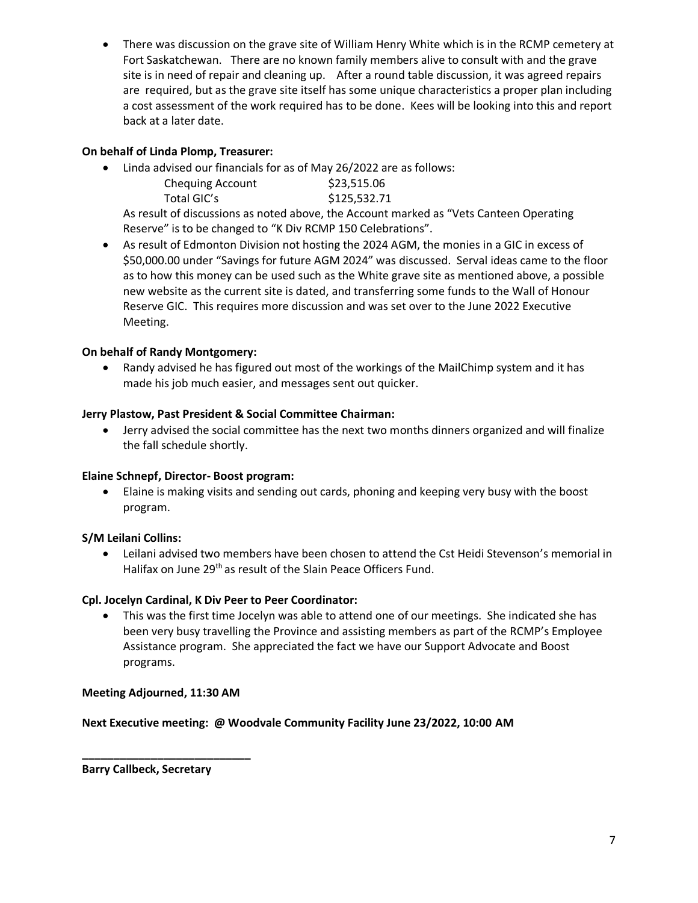• There was discussion on the grave site of William Henry White which is in the RCMP cemetery at Fort Saskatchewan. There are no known family members alive to consult with and the grave site is in need of repair and cleaning up. After a round table discussion, it was agreed repairs are required, but as the grave site itself has some unique characteristics a proper plan including a cost assessment of the work required has to be done. Kees will be looking into this and report back at a later date.

#### **On behalf of Linda Plomp, Treasurer:**

• Linda advised our financials for as of May 26/2022 are as follows:

| <b>Chequing Account</b> | \$23,515.06  |
|-------------------------|--------------|
| Total GIC's             | \$125,532.71 |

As result of discussions as noted above, the Account marked as "Vets Canteen Operating Reserve" is to be changed to "K Div RCMP 150 Celebrations".

• As result of Edmonton Division not hosting the 2024 AGM, the monies in a GIC in excess of \$50,000.00 under "Savings for future AGM 2024" was discussed. Serval ideas came to the floor as to how this money can be used such as the White grave site as mentioned above, a possible new website as the current site is dated, and transferring some funds to the Wall of Honour Reserve GIC. This requires more discussion and was set over to the June 2022 Executive Meeting.

#### **On behalf of Randy Montgomery:**

• Randy advised he has figured out most of the workings of the MailChimp system and it has made his job much easier, and messages sent out quicker.

#### **Jerry Plastow, Past President & Social Committee Chairman:**

• Jerry advised the social committee has the next two months dinners organized and will finalize the fall schedule shortly.

#### **Elaine Schnepf, Director- Boost program:**

• Elaine is making visits and sending out cards, phoning and keeping very busy with the boost program.

#### **S/M Leilani Collins:**

• Leilani advised two members have been chosen to attend the Cst Heidi Stevenson's memorial in Halifax on June 29<sup>th</sup> as result of the Slain Peace Officers Fund.

#### **Cpl. Jocelyn Cardinal, K Div Peer to Peer Coordinator:**

• This was the first time Jocelyn was able to attend one of our meetings. She indicated she has been very busy travelling the Province and assisting members as part of the RCMP's Employee Assistance program. She appreciated the fact we have our Support Advocate and Boost programs.

#### **Meeting Adjourned, 11:30 AM**

**\_\_\_\_\_\_\_\_\_\_\_\_\_\_\_\_\_\_\_\_\_\_\_\_\_\_\_**

**Next Executive meeting: @ Woodvale Community Facility June 23/2022, 10:00 AM**

**Barry Callbeck, Secretary**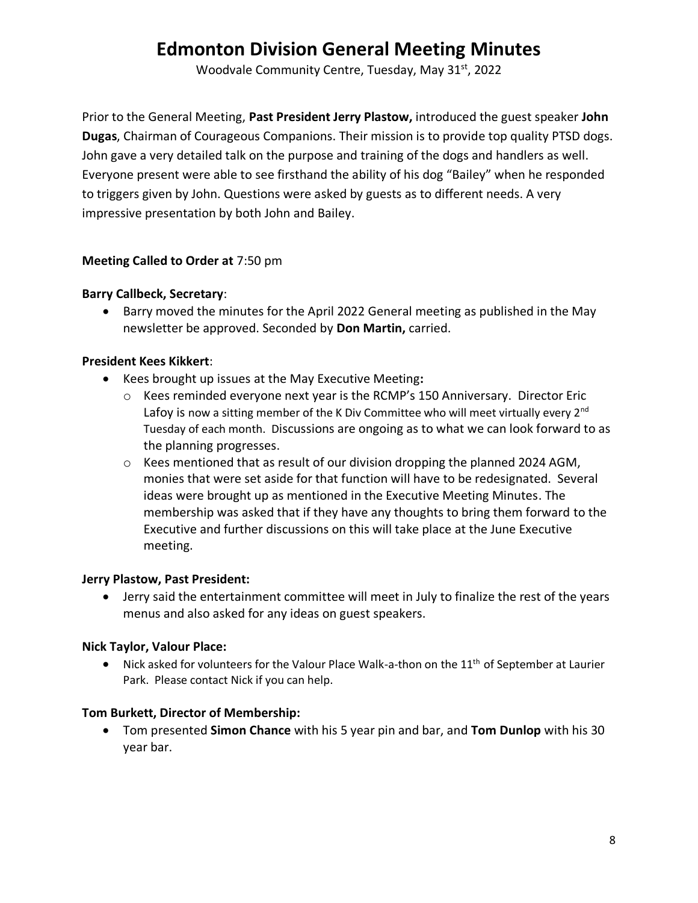### **Edmonton Division General Meeting Minutes**

Woodvale Community Centre, Tuesday, May 31st, 2022

Prior to the General Meeting, **Past President Jerry Plastow,** introduced the guest speaker **John Dugas**, Chairman of Courageous Companions. Their mission is to provide top quality PTSD dogs. John gave a very detailed talk on the purpose and training of the dogs and handlers as well. Everyone present were able to see firsthand the ability of his dog "Bailey" when he responded to triggers given by John. Questions were asked by guests as to different needs. A very impressive presentation by both John and Bailey.

#### **Meeting Called to Order at** 7:50 pm

#### **Barry Callbeck, Secretary**:

• Barry moved the minutes for the April 2022 General meeting as published in the May newsletter be approved. Seconded by **Don Martin,** carried.

#### **President Kees Kikkert**:

- Kees brought up issues at the May Executive Meeting**:**
	- $\circ$  Kees reminded everyone next year is the RCMP's 150 Anniversary. Director Eric Lafoy is now a sitting member of the K Div Committee who will meet virtually every  $2^{nd}$ Tuesday of each month. Discussions are ongoing as to what we can look forward to as the planning progresses.
	- $\circ$  Kees mentioned that as result of our division dropping the planned 2024 AGM, monies that were set aside for that function will have to be redesignated. Several ideas were brought up as mentioned in the Executive Meeting Minutes. The membership was asked that if they have any thoughts to bring them forward to the Executive and further discussions on this will take place at the June Executive meeting.

#### **Jerry Plastow, Past President:**

• Jerry said the entertainment committee will meet in July to finalize the rest of the years menus and also asked for any ideas on guest speakers.

#### **Nick Taylor, Valour Place:**

• Nick asked for volunteers for the Valour Place Walk-a-thon on the 11<sup>th</sup> of September at Laurier Park. Please contact Nick if you can help.

#### **Tom Burkett, Director of Membership:**

• Tom presented **Simon Chance** with his 5 year pin and bar, and **Tom Dunlop** with his 30 year bar.